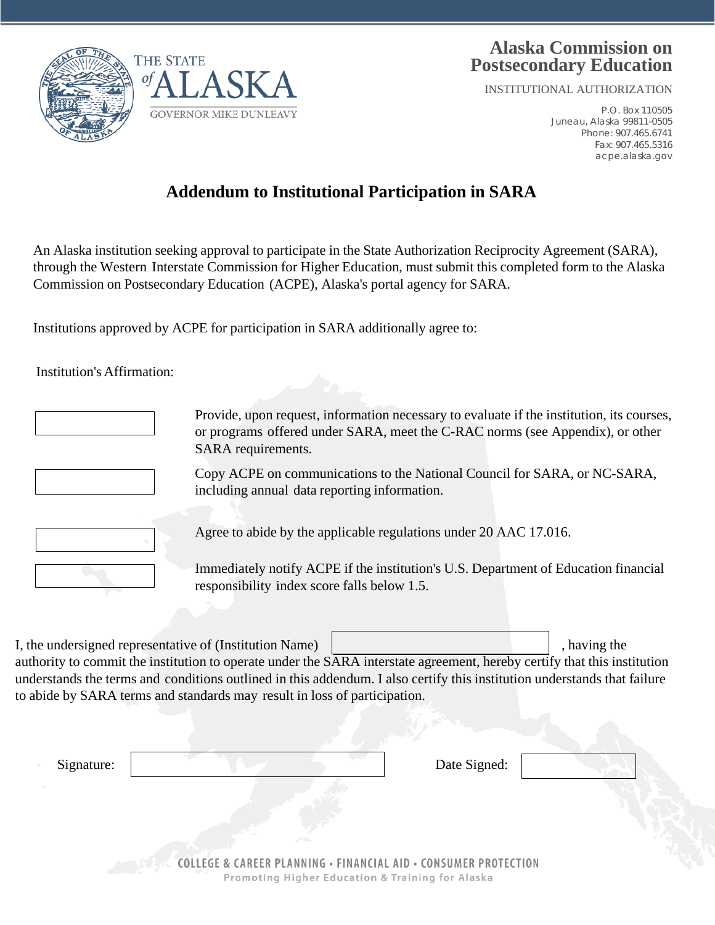



## **Alaska Commission on Postsecondary Education**

INSTITUTIONAL AUTHORIZATION

P.O. Box 110505 Juneau, Alaska 99811-0505 Phone: 907.465.6741 Fax: 907.465.5316 acpe.alaska.gov

# **Addendum to Institutional Participation in SARA**

An Alaska institution seeking approval to participate in the State Authorization Reciprocity Agreement (SARA), through the Western Interstate Commission for Higher Education, must submit this completed form to the Alaska Commission on Postsecondary Education (ACPE), Alaska's portal agency for SARA.

Institutions approved by ACPE for participation in SARA additionally agree to:

Institution's Affirmation:

| Provide, upon request, information necessary to evaluate if the institution, its courses,<br>or programs offered under SARA, meet the C-RAC norms (see Appendix), or other<br>SARA requirements. |
|--------------------------------------------------------------------------------------------------------------------------------------------------------------------------------------------------|
| Copy ACPE on communications to the National Council for SARA, or NC-SARA,<br>including annual data reporting information.                                                                        |
| Agree to abide by the applicable regulations under 20 AAC 17.016.                                                                                                                                |
| Immediately notify ACPE if the institution's U.S. Department of Education financial<br>responsibility index score falls below 1.5.                                                               |

I, the undersigned representative of (Institution Name) and the state of  $\vert$ , having the authority to commit the institution to operate under the SARA interstate agreement, hereby certify that this institution understands the terms and conditions outlined in this addendum. I also certify this institution understands that failure

to abide by SARA terms and standards may result in loss of participation.

| Signature: |                                                                                                                                | Date Signed: |
|------------|--------------------------------------------------------------------------------------------------------------------------------|--------------|
|            |                                                                                                                                |              |
|            |                                                                                                                                |              |
|            | <b>COLLEGE &amp; CAREER PLANNING · FINANCIAL AID · CONSUMER PROTECTION</b><br>Promoting Higher Education & Training for Alaska |              |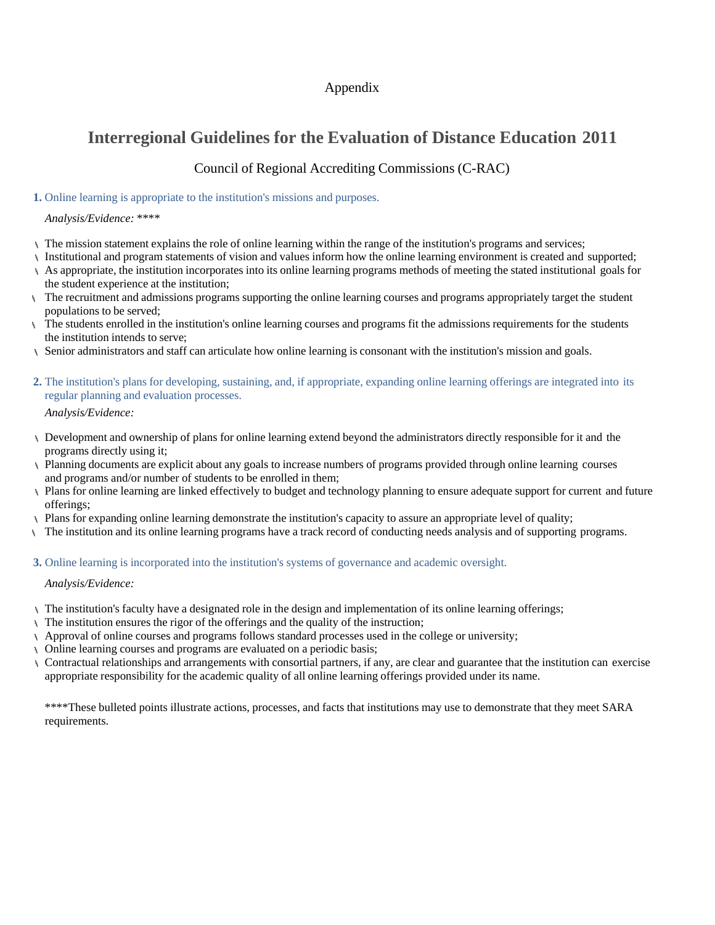### Appendix

## **Interregional Guidelines for the Evaluation of Distance Education 2011**

### Council of Regional Accrediting Commissions (C-RAC)

#### **1.** Online learning is appropriate to the institution's missions and purposes.

#### *Analysis/Evidence: \*\*\*\**

- The mission statement explains the role of online learning within the range of the institution's programs and services;
- Institutional and program statements of vision and values inform how the online learning environment is created and supported;
- As appropriate, the institution incorporates into its online learning programs methods of meeting the stated institutional goals for the student experience at the institution;
- The recruitment and admissions programs supporting the online learning courses and programs appropriately target the student populations to be served;
- The students enrolled in the institution's online learning courses and programs fit the admissions requirements for the students the institution intends to serve;
- Senior administrators and staff can articulate how online learning is consonant with the institution's mission and goals.
- **2.** The institution's plans for developing, sustaining, and, if appropriate, expanding online learning offerings are integrated into its regular planning and evaluation processes.

*Analysis/Evidence:*

- Development and ownership of plans for online learning extend beyond the administrators directly responsible for it and the programs directly using it;
- Planning documents are explicit about any goals to increase numbers of programs provided through online learning courses and programs and/or number of students to be enrolled in them;
- Plans for online learning are linked effectively to budget and technology planning to ensure adequate support for current and future offerings;
- Plans for expanding online learning demonstrate the institution's capacity to assure an appropriate level of quality;
- The institution and its online learning programs have a track record of conducting needs analysis and of supporting programs.
- **3.** Online learning is incorporated into the institution's systems of governance and academic oversight.

#### *Analysis/Evidence:*

- The institution's faculty have a designated role in the design and implementation of its online learning offerings;
- The institution ensures the rigor of the offerings and the quality of the instruction;
- Approval of online courses and programs follows standard processes used in the college or university;
- Online learning courses and programs are evaluated on a periodic basis;
- Contractual relationships and arrangements with consortial partners, if any, are clear and guarantee that the institution can exercise appropriate responsibility for the academic quality of all online learning offerings provided under its name.

\*\*\*\*These bulleted points illustrate actions, processes, and facts that institutions may use to demonstrate that they meet SARA requirements.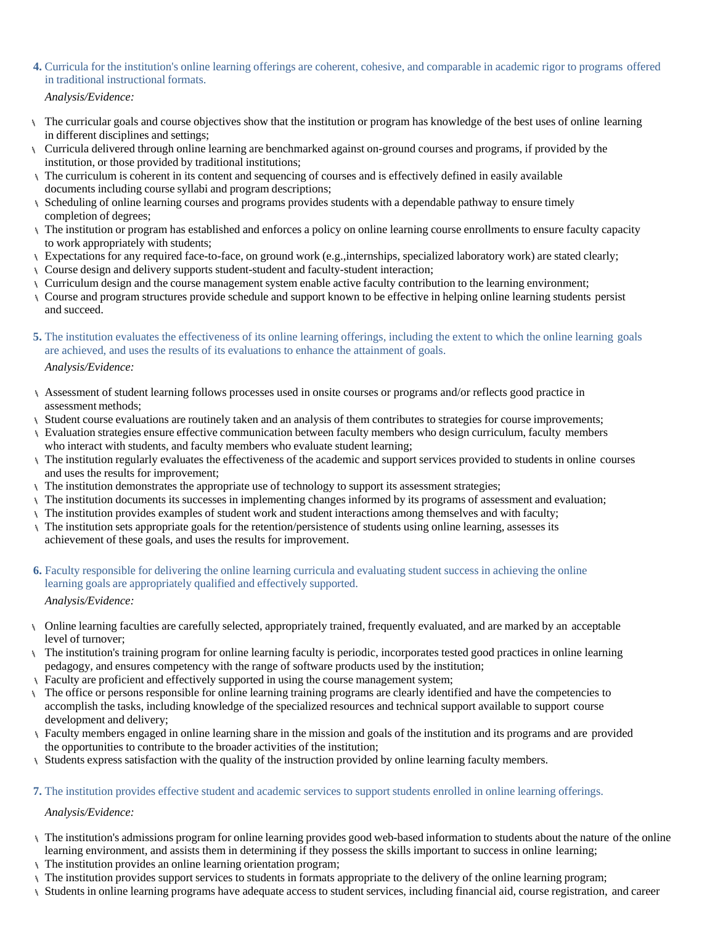- **4.** Curricula for the institution's online learning offerings are coherent, cohesive, and comparable in academic rigor to programs offered in traditional instructional formats.
	- *Analysis/Evidence:*
- The curricular goals and course objectives show that the institution or program has knowledge of the best uses of online learning in different disciplines and settings;
- Curricula delivered through online learning are benchmarked against on-ground courses and programs, if provided by the institution, or those provided by traditional institutions;
- The curriculum is coherent in its content and sequencing of courses and is effectively defined in easily available documents including course syllabi and program descriptions;
- Scheduling of online learning courses and programs provides students with a dependable pathway to ensure timely completion of degrees;
- The institution or program has established and enforces a policy on online learning course enrollments to ensure faculty capacity to work appropriately with students;
- Expectations for any required face-to-face, on ground work (e.g.,internships, specialized laboratory work) are stated clearly;
- $\setminus$  Course design and delivery supports student-student and faculty-student interaction;
- Curriculum design and the course management system enable active faculty contribution to the learning environment;
- Course and program structures provide schedule and support known to be effective in helping online learning students persist and succeed.
- **5.** The institution evaluates the effectiveness of its online learning offerings, including the extent to which the online learning goals are achieved, and uses the results of its evaluations to enhance the attainment of goals.

*Analysis/Evidence:*

- Assessment of student learning follows processes used in onsite courses or programs and/or reflects good practice in assessment methods;
- Student course evaluations are routinely taken and an analysis of them contributes to strategies for course improvements;
- Evaluation strategies ensure effective communication between faculty members who design curriculum, faculty members who interact with students, and faculty members who evaluate student learning;
- The institution regularly evaluates the effectiveness of the academic and support services provided to students in online courses and uses the results for improvement;
- The institution demonstrates the appropriate use of technology to support its assessment strategies;
- The institution documents its successes in implementing changes informed by its programs of assessment and evaluation;
- The institution provides examples of student work and student interactions among themselves and with faculty;
- The institution sets appropriate goals for the retention/persistence of students using online learning, assesses its achievement of these goals, and uses the results for improvement.
- **6.** Faculty responsible for delivering the online learning curricula and evaluating student success in achieving the online learning goals are appropriately qualified and effectively supported. *Analysis/Evidence:*
- Online learning faculties are carefully selected, appropriately trained, frequently evaluated, and are marked by an acceptable level of turnover;
- The institution's training program for online learning faculty is periodic, incorporates tested good practices in online learning pedagogy, and ensures competency with the range of software products used by the institution;
- Faculty are proficient and effectively supported in using the course management system;
- The office or persons responsible for online learning training programs are clearly identified and have the competencies to accomplish the tasks, including knowledge of the specialized resources and technical support available to support course development and delivery;
- Faculty members engaged in online learning share in the mission and goals of the institution and its programs and are provided the opportunities to contribute to the broader activities of the institution;
- Students express satisfaction with the quality of the instruction provided by online learning faculty members.

#### **7.** The institution provides effective student and academic services to support students enrolled in online learning offerings.

*Analysis/Evidence:*

- The institution's admissions program for online learning provides good web-based information to students about the nature of the online learning environment, and assists them in determining if they possess the skills important to success in online learning;
- The institution provides an online learning orientation program;
- The institution provides support services to students in formats appropriate to the delivery of the online learning program;
- Students in online learning programs have adequate access to student services, including financial aid, course registration, and career